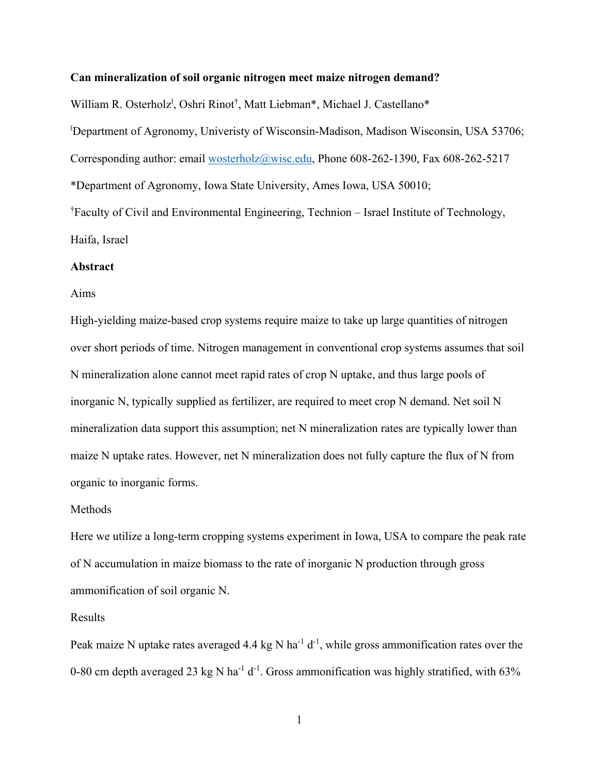#### **Can mineralization of soil organic nitrogen meet maize nitrogen demand?**

William R. Osterholz<sup>I</sup>, Oshri Rinot<sup>†</sup>, Matt Liebman\*, Michael J. Castellano\* ‖ Department of Agronomy, Univeristy of Wisconsin-Madison, Madison Wisconsin, USA 53706; Corresponding author: email wosterholz@wisc.edu, Phone 608-262-1390, Fax 608-262-5217 \*Department of Agronomy, Iowa State University, Ames Iowa, USA 50010; † Faculty of Civil and Environmental Engineering, Technion – Israel Institute of Technology, Haifa, Israel

## **Abstract**

#### Aims

High-yielding maize-based crop systems require maize to take up large quantities of nitrogen over short periods of time. Nitrogen management in conventional crop systems assumes that soil N mineralization alone cannot meet rapid rates of crop N uptake, and thus large pools of inorganic N, typically supplied as fertilizer, are required to meet crop N demand. Net soil N mineralization data support this assumption; net N mineralization rates are typically lower than maize N uptake rates. However, net N mineralization does not fully capture the flux of N from organic to inorganic forms.

#### Methods

Here we utilize a long-term cropping systems experiment in Iowa, USA to compare the peak rate of N accumulation in maize biomass to the rate of inorganic N production through gross ammonification of soil organic N.

#### Results

Peak maize N uptake rates averaged 4.4 kg N ha<sup>-1</sup> d<sup>-1</sup>, while gross ammonification rates over the 0-80 cm depth averaged 23 kg N ha<sup>-1</sup> d<sup>-1</sup>. Gross ammonification was highly stratified, with 63%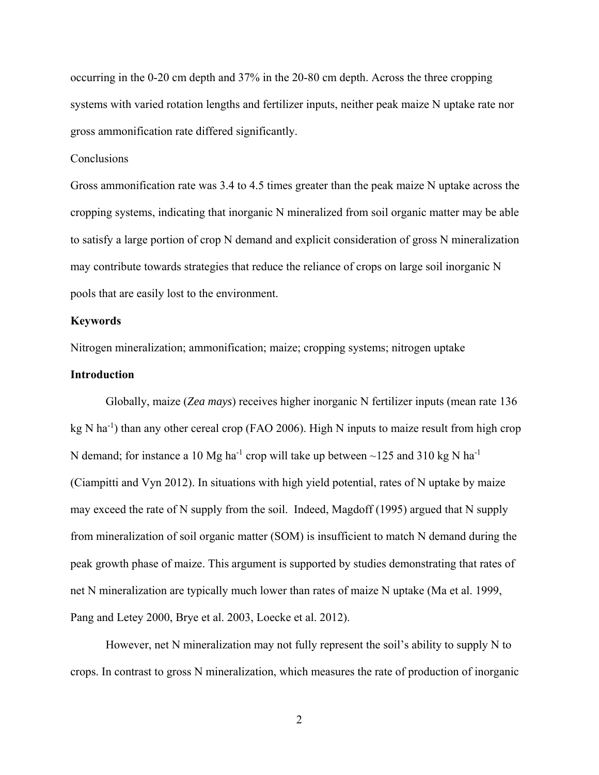occurring in the 0-20 cm depth and 37% in the 20-80 cm depth. Across the three cropping systems with varied rotation lengths and fertilizer inputs, neither peak maize N uptake rate nor gross ammonification rate differed significantly.

## **Conclusions**

Gross ammonification rate was 3.4 to 4.5 times greater than the peak maize N uptake across the cropping systems, indicating that inorganic N mineralized from soil organic matter may be able to satisfy a large portion of crop N demand and explicit consideration of gross N mineralization may contribute towards strategies that reduce the reliance of crops on large soil inorganic N pools that are easily lost to the environment.

#### **Keywords**

Nitrogen mineralization; ammonification; maize; cropping systems; nitrogen uptake

## **Introduction**

Globally, maize (*Zea mays*) receives higher inorganic N fertilizer inputs (mean rate 136 kg N ha<sup>-1</sup>) than any other cereal crop (FAO 2006). High N inputs to maize result from high crop N demand; for instance a 10 Mg ha<sup>-1</sup> crop will take up between  $\sim$ 125 and 310 kg N ha<sup>-1</sup> (Ciampitti and Vyn 2012). In situations with high yield potential, rates of N uptake by maize may exceed the rate of N supply from the soil. Indeed, Magdoff (1995) argued that N supply from mineralization of soil organic matter (SOM) is insufficient to match N demand during the peak growth phase of maize. This argument is supported by studies demonstrating that rates of net N mineralization are typically much lower than rates of maize N uptake (Ma et al. 1999, Pang and Letey 2000, Brye et al. 2003, Loecke et al. 2012).

However, net N mineralization may not fully represent the soil's ability to supply N to crops. In contrast to gross N mineralization, which measures the rate of production of inorganic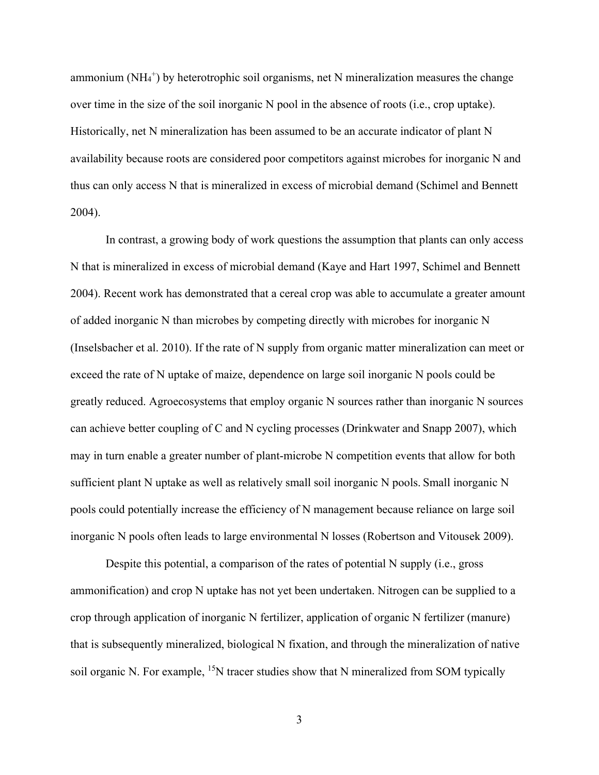ammonium ( $NH<sub>4</sub>$ <sup>+</sup>) by heterotrophic soil organisms, net N mineralization measures the change over time in the size of the soil inorganic N pool in the absence of roots (i.e., crop uptake). Historically, net N mineralization has been assumed to be an accurate indicator of plant N availability because roots are considered poor competitors against microbes for inorganic N and thus can only access N that is mineralized in excess of microbial demand (Schimel and Bennett 2004).

In contrast, a growing body of work questions the assumption that plants can only access N that is mineralized in excess of microbial demand (Kaye and Hart 1997, Schimel and Bennett 2004). Recent work has demonstrated that a cereal crop was able to accumulate a greater amount of added inorganic N than microbes by competing directly with microbes for inorganic N (Inselsbacher et al. 2010). If the rate of N supply from organic matter mineralization can meet or exceed the rate of N uptake of maize, dependence on large soil inorganic N pools could be greatly reduced. Agroecosystems that employ organic N sources rather than inorganic N sources can achieve better coupling of C and N cycling processes (Drinkwater and Snapp 2007), which may in turn enable a greater number of plant-microbe N competition events that allow for both sufficient plant N uptake as well as relatively small soil inorganic N pools. Small inorganic N pools could potentially increase the efficiency of N management because reliance on large soil inorganic N pools often leads to large environmental N losses (Robertson and Vitousek 2009).

Despite this potential, a comparison of the rates of potential N supply (i.e., gross ammonification) and crop N uptake has not yet been undertaken. Nitrogen can be supplied to a crop through application of inorganic N fertilizer, application of organic N fertilizer (manure) that is subsequently mineralized, biological N fixation, and through the mineralization of native soil organic N. For example,  $15N$  tracer studies show that N mineralized from SOM typically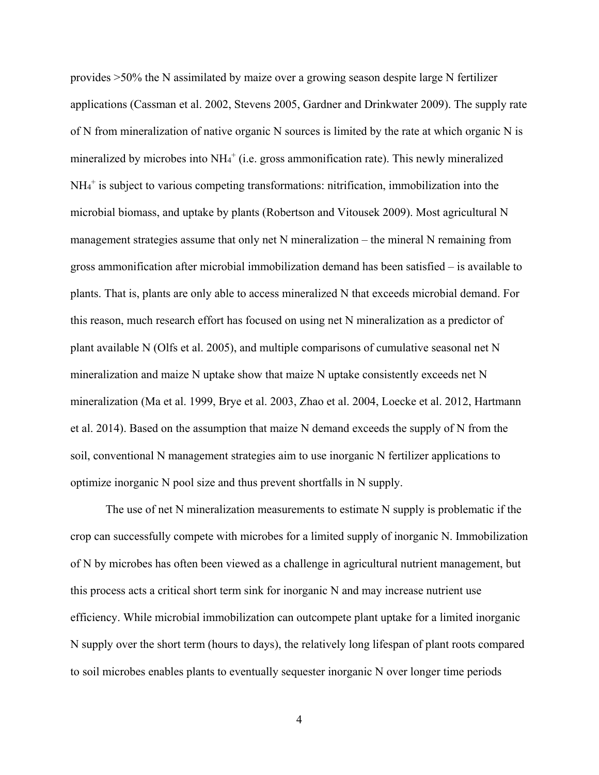provides >50% the N assimilated by maize over a growing season despite large N fertilizer applications (Cassman et al. 2002, Stevens 2005, Gardner and Drinkwater 2009). The supply rate of N from mineralization of native organic N sources is limited by the rate at which organic N is mineralized by microbes into NH<sub>4</sub><sup>+</sup> (i.e. gross ammonification rate). This newly mineralized NH4 + is subject to various competing transformations: nitrification, immobilization into the microbial biomass, and uptake by plants (Robertson and Vitousek 2009). Most agricultural N management strategies assume that only net N mineralization – the mineral N remaining from gross ammonification after microbial immobilization demand has been satisfied – is available to plants. That is, plants are only able to access mineralized N that exceeds microbial demand. For this reason, much research effort has focused on using net N mineralization as a predictor of plant available N (Olfs et al. 2005), and multiple comparisons of cumulative seasonal net N mineralization and maize N uptake show that maize N uptake consistently exceeds net N mineralization (Ma et al. 1999, Brye et al. 2003, Zhao et al. 2004, Loecke et al. 2012, Hartmann et al. 2014). Based on the assumption that maize N demand exceeds the supply of N from the soil, conventional N management strategies aim to use inorganic N fertilizer applications to optimize inorganic N pool size and thus prevent shortfalls in N supply.

The use of net N mineralization measurements to estimate N supply is problematic if the crop can successfully compete with microbes for a limited supply of inorganic N. Immobilization of N by microbes has often been viewed as a challenge in agricultural nutrient management, but this process acts a critical short term sink for inorganic N and may increase nutrient use efficiency. While microbial immobilization can outcompete plant uptake for a limited inorganic N supply over the short term (hours to days), the relatively long lifespan of plant roots compared to soil microbes enables plants to eventually sequester inorganic N over longer time periods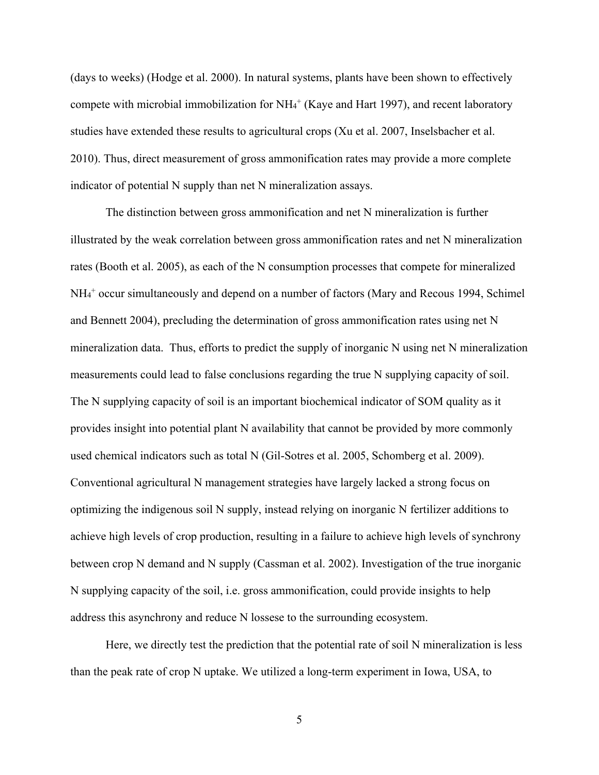(days to weeks) (Hodge et al. 2000). In natural systems, plants have been shown to effectively compete with microbial immobilization for NH<sub>4</sub><sup>+</sup> (Kaye and Hart 1997), and recent laboratory studies have extended these results to agricultural crops (Xu et al. 2007, Inselsbacher et al. 2010). Thus, direct measurement of gross ammonification rates may provide a more complete indicator of potential N supply than net N mineralization assays.

The distinction between gross ammonification and net N mineralization is further illustrated by the weak correlation between gross ammonification rates and net N mineralization rates (Booth et al. 2005), as each of the N consumption processes that compete for mineralized NH4 + occur simultaneously and depend on a number of factors (Mary and Recous 1994, Schimel and Bennett 2004), precluding the determination of gross ammonification rates using net N mineralization data. Thus, efforts to predict the supply of inorganic N using net N mineralization measurements could lead to false conclusions regarding the true N supplying capacity of soil. The N supplying capacity of soil is an important biochemical indicator of SOM quality as it provides insight into potential plant N availability that cannot be provided by more commonly used chemical indicators such as total N (Gil-Sotres et al. 2005, Schomberg et al. 2009). Conventional agricultural N management strategies have largely lacked a strong focus on optimizing the indigenous soil N supply, instead relying on inorganic N fertilizer additions to achieve high levels of crop production, resulting in a failure to achieve high levels of synchrony between crop N demand and N supply (Cassman et al. 2002). Investigation of the true inorganic N supplying capacity of the soil, i.e. gross ammonification, could provide insights to help address this asynchrony and reduce N lossese to the surrounding ecosystem.

Here, we directly test the prediction that the potential rate of soil N mineralization is less than the peak rate of crop N uptake. We utilized a long-term experiment in Iowa, USA, to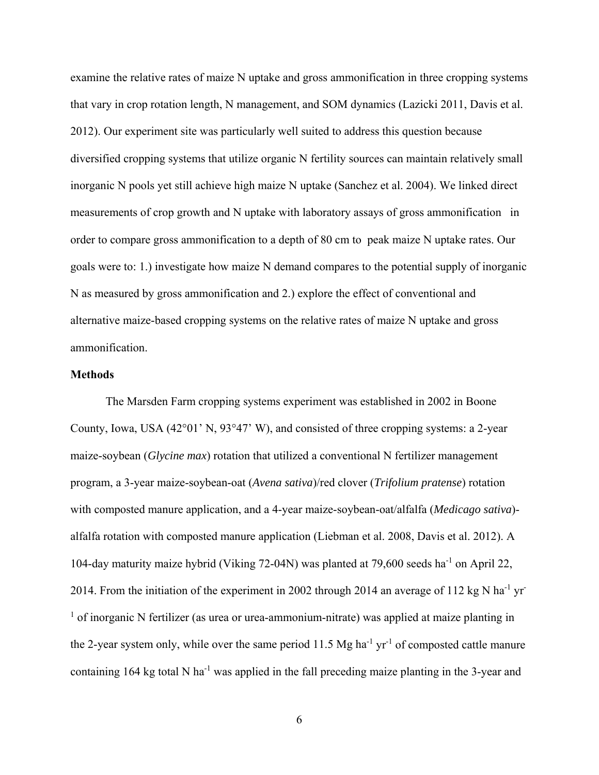examine the relative rates of maize N uptake and gross ammonification in three cropping systems that vary in crop rotation length, N management, and SOM dynamics (Lazicki 2011, Davis et al. 2012). Our experiment site was particularly well suited to address this question because diversified cropping systems that utilize organic N fertility sources can maintain relatively small inorganic N pools yet still achieve high maize N uptake (Sanchez et al. 2004). We linked direct measurements of crop growth and N uptake with laboratory assays of gross ammonification in order to compare gross ammonification to a depth of 80 cm to peak maize N uptake rates. Our goals were to: 1.) investigate how maize N demand compares to the potential supply of inorganic N as measured by gross ammonification and 2.) explore the effect of conventional and alternative maize-based cropping systems on the relative rates of maize N uptake and gross ammonification.

## **Methods**

The Marsden Farm cropping systems experiment was established in 2002 in Boone County, Iowa, USA (42°01' N, 93°47' W), and consisted of three cropping systems: a 2-year maize-soybean (*Glycine max*) rotation that utilized a conventional N fertilizer management program, a 3-year maize-soybean-oat (*Avena sativa*)/red clover (*Trifolium pratense*) rotation with composted manure application, and a 4-year maize-soybean-oat/alfalfa (*Medicago sativa*) alfalfa rotation with composted manure application (Liebman et al. 2008, Davis et al. 2012). A 104-day maturity maize hybrid (Viking 72-04N) was planted at 79,600 seeds ha-1 on April 22, 2014. From the initiation of the experiment in 2002 through 2014 an average of 112 kg N ha<sup>-1</sup> yr-<sup>1</sup> of inorganic N fertilizer (as urea or urea-ammonium-nitrate) was applied at maize planting in the 2-year system only, while over the same period 11.5 Mg ha<sup>-1</sup> yr<sup>-1</sup> of composted cattle manure containing 164 kg total N ha<sup>-1</sup> was applied in the fall preceding maize planting in the 3-year and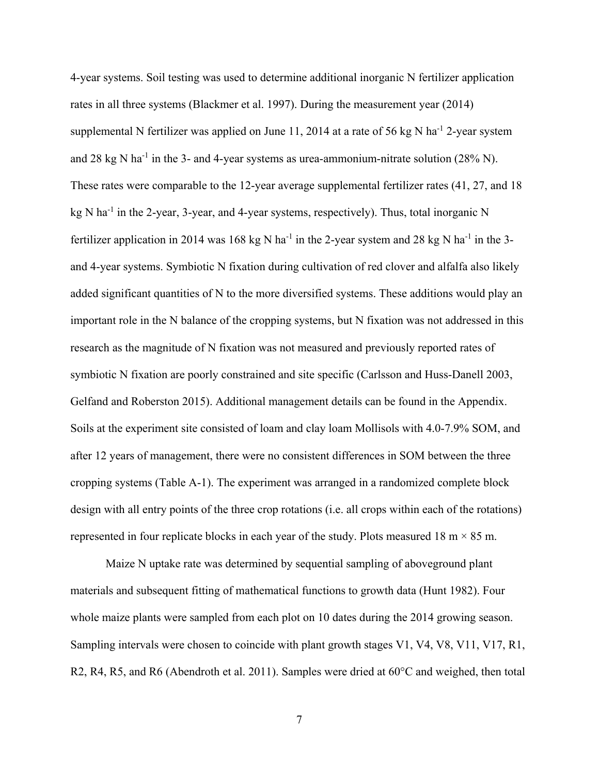4-year systems. Soil testing was used to determine additional inorganic N fertilizer application rates in all three systems (Blackmer et al. 1997). During the measurement year (2014) supplemental N fertilizer was applied on June 11, 2014 at a rate of 56 kg N ha<sup>-1</sup> 2-year system and 28 kg N ha<sup>-1</sup> in the 3- and 4-year systems as urea-ammonium-nitrate solution  $(28\% N)$ . These rates were comparable to the 12-year average supplemental fertilizer rates (41, 27, and 18  $kg \text{ N}$  ha<sup>-1</sup> in the 2-year, 3-year, and 4-year systems, respectively). Thus, total inorganic N fertilizer application in 2014 was 168 kg N ha<sup>-1</sup> in the 2-year system and 28 kg N ha<sup>-1</sup> in the 3and 4-year systems. Symbiotic N fixation during cultivation of red clover and alfalfa also likely added significant quantities of N to the more diversified systems. These additions would play an important role in the N balance of the cropping systems, but N fixation was not addressed in this research as the magnitude of N fixation was not measured and previously reported rates of symbiotic N fixation are poorly constrained and site specific (Carlsson and Huss-Danell 2003, Gelfand and Roberston 2015). Additional management details can be found in the Appendix. Soils at the experiment site consisted of loam and clay loam Mollisols with 4.0-7.9% SOM, and after 12 years of management, there were no consistent differences in SOM between the three cropping systems (Table A-1). The experiment was arranged in a randomized complete block design with all entry points of the three crop rotations (i.e. all crops within each of the rotations) represented in four replicate blocks in each year of the study. Plots measured 18 m  $\times$  85 m.

Maize N uptake rate was determined by sequential sampling of aboveground plant materials and subsequent fitting of mathematical functions to growth data (Hunt 1982). Four whole maize plants were sampled from each plot on 10 dates during the 2014 growing season. Sampling intervals were chosen to coincide with plant growth stages V1, V4, V8, V11, V17, R1, R2, R4, R5, and R6 (Abendroth et al. 2011). Samples were dried at 60°C and weighed, then total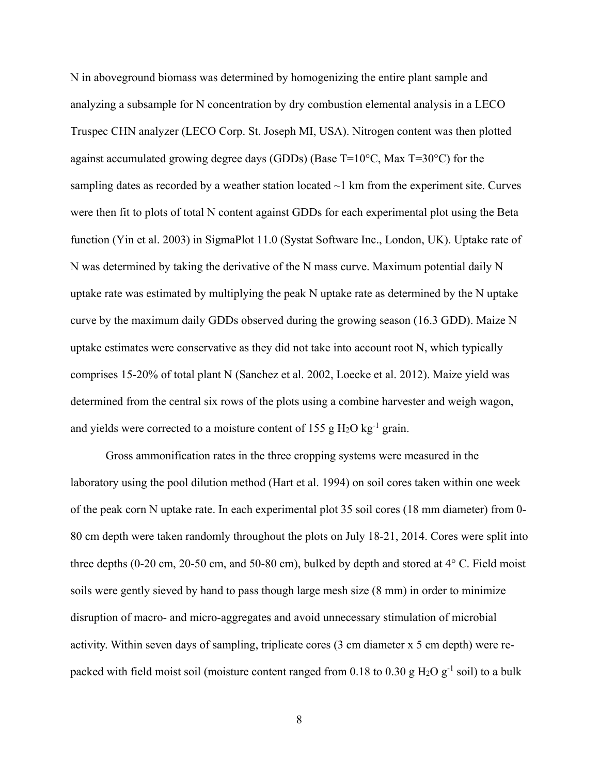N in aboveground biomass was determined by homogenizing the entire plant sample and analyzing a subsample for N concentration by dry combustion elemental analysis in a LECO Truspec CHN analyzer (LECO Corp. St. Joseph MI, USA). Nitrogen content was then plotted against accumulated growing degree days (GDDs) (Base T=10°C, Max T=30°C) for the sampling dates as recorded by a weather station located  $\sim$ 1 km from the experiment site. Curves were then fit to plots of total N content against GDDs for each experimental plot using the Beta function (Yin et al. 2003) in SigmaPlot 11.0 (Systat Software Inc., London, UK). Uptake rate of N was determined by taking the derivative of the N mass curve. Maximum potential daily N uptake rate was estimated by multiplying the peak N uptake rate as determined by the N uptake curve by the maximum daily GDDs observed during the growing season (16.3 GDD). Maize N uptake estimates were conservative as they did not take into account root N, which typically comprises 15-20% of total plant N (Sanchez et al. 2002, Loecke et al. 2012). Maize yield was determined from the central six rows of the plots using a combine harvester and weigh wagon, and yields were corrected to a moisture content of 155 g  $H_2O$  kg<sup>-1</sup> grain.

Gross ammonification rates in the three cropping systems were measured in the laboratory using the pool dilution method (Hart et al. 1994) on soil cores taken within one week of the peak corn N uptake rate. In each experimental plot 35 soil cores (18 mm diameter) from 0- 80 cm depth were taken randomly throughout the plots on July 18-21, 2014. Cores were split into three depths (0-20 cm, 20-50 cm, and 50-80 cm), bulked by depth and stored at 4° C. Field moist soils were gently sieved by hand to pass though large mesh size (8 mm) in order to minimize disruption of macro- and micro-aggregates and avoid unnecessary stimulation of microbial activity. Within seven days of sampling, triplicate cores (3 cm diameter x 5 cm depth) were repacked with field moist soil (moisture content ranged from 0.18 to 0.30 g H<sub>2</sub>O g<sup>-1</sup> soil) to a bulk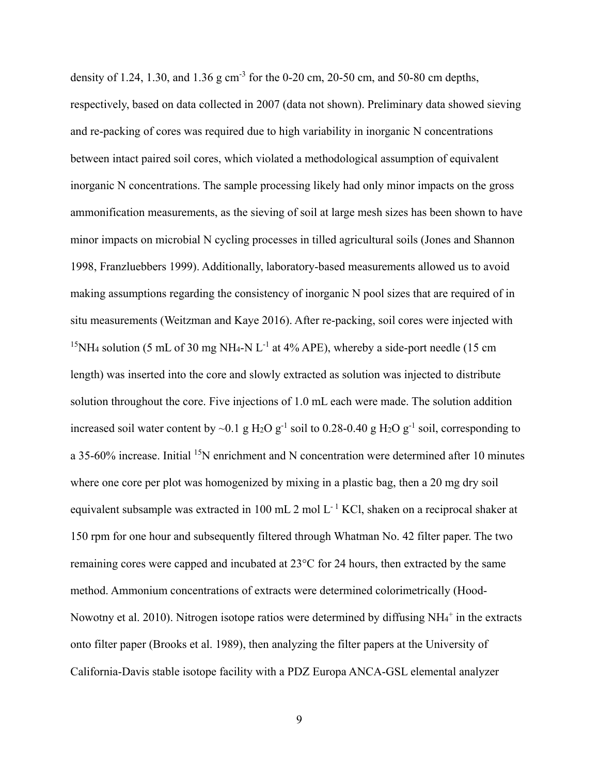density of 1.24, 1.30, and 1.36 g cm<sup>-3</sup> for the 0-20 cm, 20-50 cm, and 50-80 cm depths, respectively, based on data collected in 2007 (data not shown). Preliminary data showed sieving and re-packing of cores was required due to high variability in inorganic N concentrations between intact paired soil cores, which violated a methodological assumption of equivalent inorganic N concentrations. The sample processing likely had only minor impacts on the gross ammonification measurements, as the sieving of soil at large mesh sizes has been shown to have minor impacts on microbial N cycling processes in tilled agricultural soils (Jones and Shannon 1998, Franzluebbers 1999). Additionally, laboratory-based measurements allowed us to avoid making assumptions regarding the consistency of inorganic N pool sizes that are required of in situ measurements (Weitzman and Kaye 2016). After re-packing, soil cores were injected with <sup>15</sup>NH<sub>4</sub> solution (5 mL of 30 mg NH<sub>4</sub>-N L<sup>-1</sup> at 4% APE), whereby a side-port needle (15 cm) length) was inserted into the core and slowly extracted as solution was injected to distribute solution throughout the core. Five injections of 1.0 mL each were made. The solution addition increased soil water content by ~0.1 g H<sub>2</sub>O g<sup>-1</sup> soil to 0.28-0.40 g H<sub>2</sub>O g<sup>-1</sup> soil, corresponding to a 35-60% increase. Initial <sup>15</sup>N enrichment and N concentration were determined after 10 minutes where one core per plot was homogenized by mixing in a plastic bag, then a 20 mg dry soil equivalent subsample was extracted in 100 mL 2 mol  $L^{-1}$  KCl, shaken on a reciprocal shaker at 150 rpm for one hour and subsequently filtered through Whatman No. 42 filter paper. The two remaining cores were capped and incubated at 23°C for 24 hours, then extracted by the same method. Ammonium concentrations of extracts were determined colorimetrically (Hood-Nowotny et al. 2010). Nitrogen isotope ratios were determined by diffusing  $NH_4^+$  in the extracts onto filter paper (Brooks et al. 1989), then analyzing the filter papers at the University of California-Davis stable isotope facility with a PDZ Europa ANCA-GSL elemental analyzer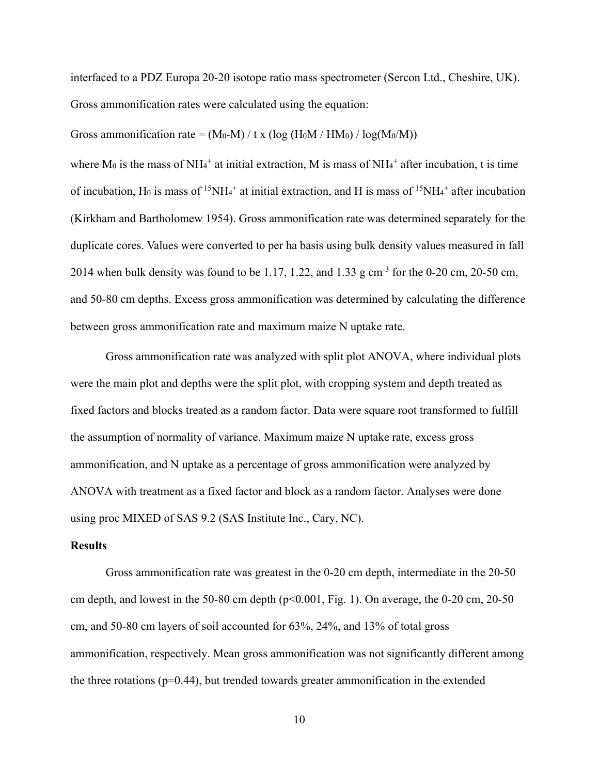interfaced to a PDZ Europa 20-20 isotope ratio mass spectrometer (Sercon Ltd., Cheshire, UK). Gross ammonification rates were calculated using the equation:

Gross ammonification rate =  $(M_0-M) / t x (\log(H_0M/HM_0) / \log(M_0/M))$ 

where  $M_0$  is the mass of NH<sub>4</sub><sup>+</sup> at initial extraction, M is mass of NH<sub>4</sub><sup>+</sup> after incubation, t is time of incubation, H<sub>0</sub> is mass of <sup>15</sup>NH<sub>4</sub><sup>+</sup> at initial extraction, and H is mass of <sup>15</sup>NH<sub>4</sub><sup>+</sup> after incubation (Kirkham and Bartholomew 1954). Gross ammonification rate was determined separately for the duplicate cores. Values were converted to per ha basis using bulk density values measured in fall 2014 when bulk density was found to be 1.17, 1.22, and 1.33 g cm<sup>-3</sup> for the 0-20 cm, 20-50 cm, and 50-80 cm depths. Excess gross ammonification was determined by calculating the difference between gross ammonification rate and maximum maize N uptake rate.

 Gross ammonification rate was analyzed with split plot ANOVA, where individual plots were the main plot and depths were the split plot, with cropping system and depth treated as fixed factors and blocks treated as a random factor. Data were square root transformed to fulfill the assumption of normality of variance. Maximum maize N uptake rate, excess gross ammonification, and N uptake as a percentage of gross ammonification were analyzed by ANOVA with treatment as a fixed factor and block as a random factor. Analyses were done using proc MIXED of SAS 9.2 (SAS Institute Inc., Cary, NC).

## **Results**

Gross ammonification rate was greatest in the 0-20 cm depth, intermediate in the 20-50 cm depth, and lowest in the 50-80 cm depth  $(p<0.001, Fig. 1)$ . On average, the 0-20 cm, 20-50 cm, and 50-80 cm layers of soil accounted for 63%, 24%, and 13% of total gross ammonification, respectively. Mean gross ammonification was not significantly different among the three rotations  $(p=0.44)$ , but trended towards greater ammonification in the extended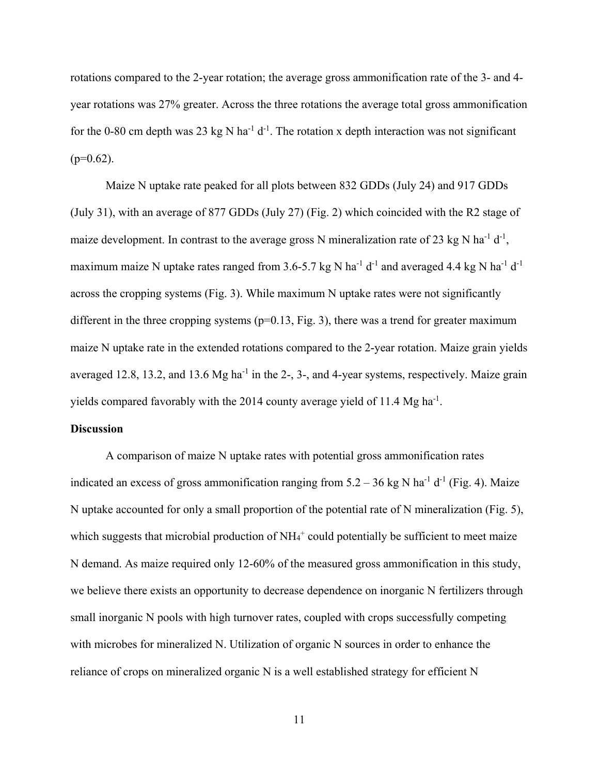rotations compared to the 2-year rotation; the average gross ammonification rate of the 3- and 4 year rotations was 27% greater. Across the three rotations the average total gross ammonification for the 0-80 cm depth was 23 kg N ha<sup>-1</sup> d<sup>-1</sup>. The rotation x depth interaction was not significant  $(p=0.62)$ .

 Maize N uptake rate peaked for all plots between 832 GDDs (July 24) and 917 GDDs (July 31), with an average of 877 GDDs (July 27) (Fig. 2) which coincided with the R2 stage of maize development. In contrast to the average gross N mineralization rate of 23 kg N ha<sup>-1</sup> d<sup>-1</sup>, maximum maize N uptake rates ranged from 3.6-5.7 kg N ha<sup>-1</sup> d<sup>-1</sup> and averaged 4.4 kg N ha<sup>-1</sup> d<sup>-1</sup> across the cropping systems (Fig. 3). While maximum N uptake rates were not significantly different in the three cropping systems ( $p=0.13$ , Fig. 3), there was a trend for greater maximum maize N uptake rate in the extended rotations compared to the 2-year rotation. Maize grain yields averaged 12.8, 13.2, and 13.6  $Mg$  ha<sup>-1</sup> in the 2-, 3-, and 4-year systems, respectively. Maize grain yields compared favorably with the 2014 county average yield of 11.4 Mg ha<sup>-1</sup>.

## **Discussion**

A comparison of maize N uptake rates with potential gross ammonification rates indicated an excess of gross ammonification ranging from  $5.2 - 36$  kg N ha<sup>-1</sup> d<sup>-1</sup> (Fig. 4). Maize N uptake accounted for only a small proportion of the potential rate of N mineralization (Fig. 5), which suggests that microbial production of  $NH_4^+$  could potentially be sufficient to meet maize N demand. As maize required only 12-60% of the measured gross ammonification in this study, we believe there exists an opportunity to decrease dependence on inorganic N fertilizers through small inorganic N pools with high turnover rates, coupled with crops successfully competing with microbes for mineralized N. Utilization of organic N sources in order to enhance the reliance of crops on mineralized organic N is a well established strategy for efficient N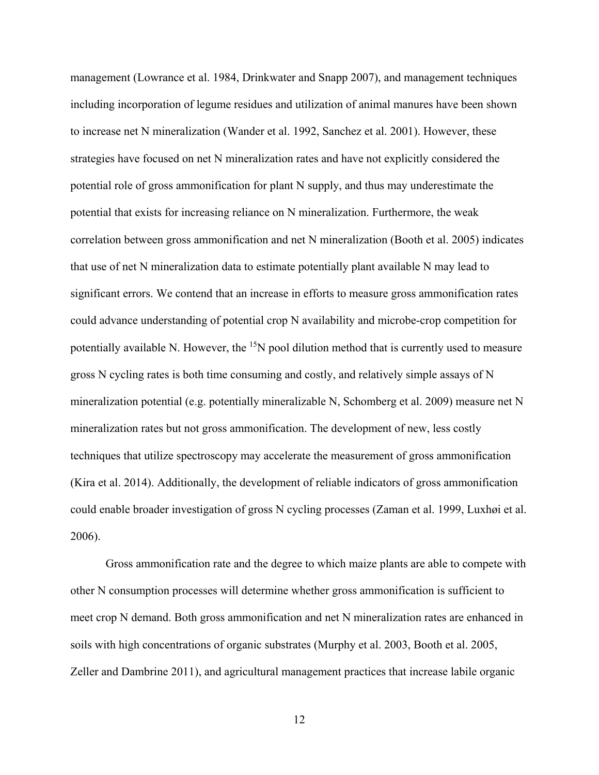management (Lowrance et al. 1984, Drinkwater and Snapp 2007), and management techniques including incorporation of legume residues and utilization of animal manures have been shown to increase net N mineralization (Wander et al. 1992, Sanchez et al. 2001). However, these strategies have focused on net N mineralization rates and have not explicitly considered the potential role of gross ammonification for plant N supply, and thus may underestimate the potential that exists for increasing reliance on N mineralization. Furthermore, the weak correlation between gross ammonification and net N mineralization (Booth et al. 2005) indicates that use of net N mineralization data to estimate potentially plant available N may lead to significant errors. We contend that an increase in efforts to measure gross ammonification rates could advance understanding of potential crop N availability and microbe-crop competition for potentially available N. However, the  $15N$  pool dilution method that is currently used to measure gross N cycling rates is both time consuming and costly, and relatively simple assays of N mineralization potential (e.g. potentially mineralizable N, Schomberg et al. 2009) measure net N mineralization rates but not gross ammonification. The development of new, less costly techniques that utilize spectroscopy may accelerate the measurement of gross ammonification (Kira et al. 2014). Additionally, the development of reliable indicators of gross ammonification could enable broader investigation of gross N cycling processes (Zaman et al. 1999, Luxhøi et al. 2006).

Gross ammonification rate and the degree to which maize plants are able to compete with other N consumption processes will determine whether gross ammonification is sufficient to meet crop N demand. Both gross ammonification and net N mineralization rates are enhanced in soils with high concentrations of organic substrates (Murphy et al. 2003, Booth et al. 2005, Zeller and Dambrine 2011), and agricultural management practices that increase labile organic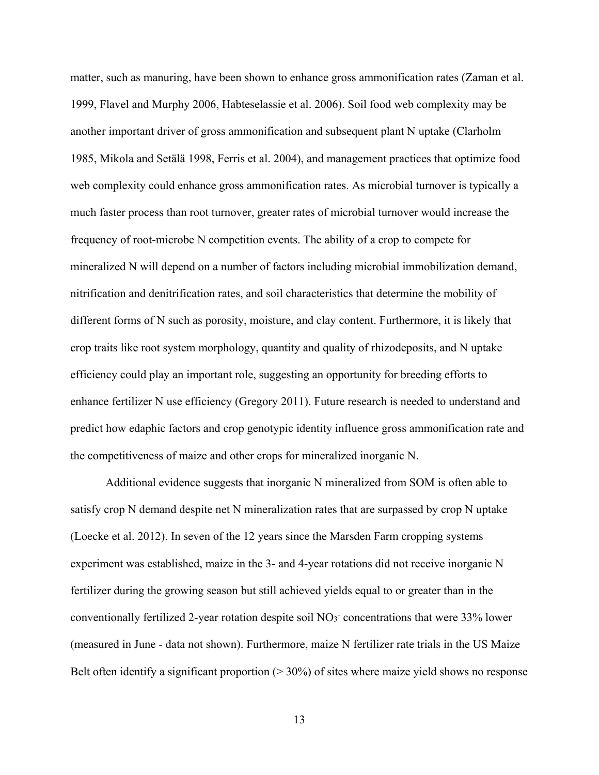matter, such as manuring, have been shown to enhance gross ammonification rates (Zaman et al. 1999, Flavel and Murphy 2006, Habteselassie et al. 2006). Soil food web complexity may be another important driver of gross ammonification and subsequent plant N uptake (Clarholm 1985, Mikola and Setälä 1998, Ferris et al. 2004), and management practices that optimize food web complexity could enhance gross ammonification rates. As microbial turnover is typically a much faster process than root turnover, greater rates of microbial turnover would increase the frequency of root-microbe N competition events. The ability of a crop to compete for mineralized N will depend on a number of factors including microbial immobilization demand, nitrification and denitrification rates, and soil characteristics that determine the mobility of different forms of N such as porosity, moisture, and clay content. Furthermore, it is likely that crop traits like root system morphology, quantity and quality of rhizodeposits, and N uptake efficiency could play an important role, suggesting an opportunity for breeding efforts to enhance fertilizer N use efficiency (Gregory 2011). Future research is needed to understand and predict how edaphic factors and crop genotypic identity influence gross ammonification rate and the competitiveness of maize and other crops for mineralized inorganic N.

Additional evidence suggests that inorganic N mineralized from SOM is often able to satisfy crop N demand despite net N mineralization rates that are surpassed by crop N uptake (Loecke et al. 2012). In seven of the 12 years since the Marsden Farm cropping systems experiment was established, maize in the 3- and 4-year rotations did not receive inorganic N fertilizer during the growing season but still achieved yields equal to or greater than in the conventionally fertilized 2-year rotation despite soil  $NO<sub>3</sub>$  concentrations that were 33% lower (measured in June - data not shown). Furthermore, maize N fertilizer rate trials in the US Maize Belt often identify a significant proportion  $(>30%)$  of sites where maize yield shows no response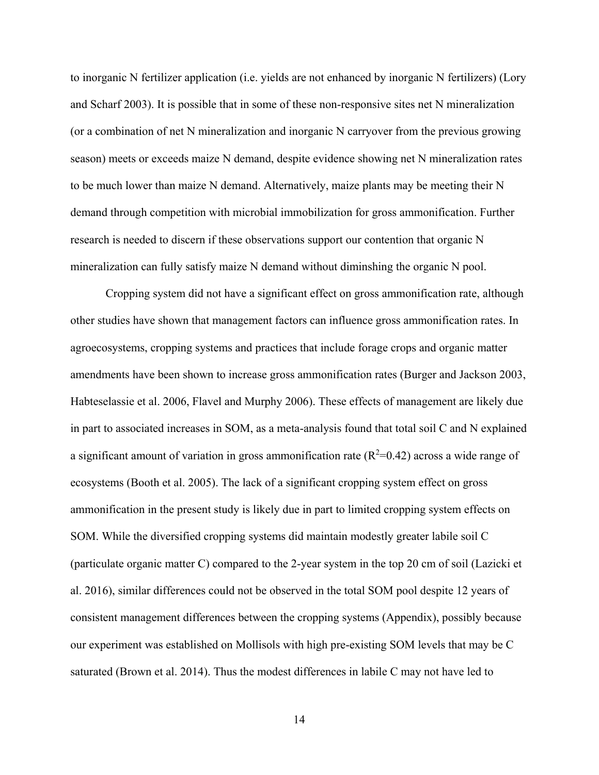to inorganic N fertilizer application (i.e. yields are not enhanced by inorganic N fertilizers) (Lory and Scharf 2003). It is possible that in some of these non-responsive sites net N mineralization (or a combination of net N mineralization and inorganic N carryover from the previous growing season) meets or exceeds maize N demand, despite evidence showing net N mineralization rates to be much lower than maize N demand. Alternatively, maize plants may be meeting their N demand through competition with microbial immobilization for gross ammonification. Further research is needed to discern if these observations support our contention that organic N mineralization can fully satisfy maize N demand without diminshing the organic N pool.

Cropping system did not have a significant effect on gross ammonification rate, although other studies have shown that management factors can influence gross ammonification rates. In agroecosystems, cropping systems and practices that include forage crops and organic matter amendments have been shown to increase gross ammonification rates (Burger and Jackson 2003, Habteselassie et al. 2006, Flavel and Murphy 2006). These effects of management are likely due in part to associated increases in SOM, as a meta-analysis found that total soil C and N explained a significant amount of variation in gross ammonification rate  $(R^2=0.42)$  across a wide range of ecosystems (Booth et al. 2005). The lack of a significant cropping system effect on gross ammonification in the present study is likely due in part to limited cropping system effects on SOM. While the diversified cropping systems did maintain modestly greater labile soil C (particulate organic matter C) compared to the 2-year system in the top 20 cm of soil (Lazicki et al. 2016), similar differences could not be observed in the total SOM pool despite 12 years of consistent management differences between the cropping systems (Appendix), possibly because our experiment was established on Mollisols with high pre-existing SOM levels that may be C saturated (Brown et al. 2014). Thus the modest differences in labile C may not have led to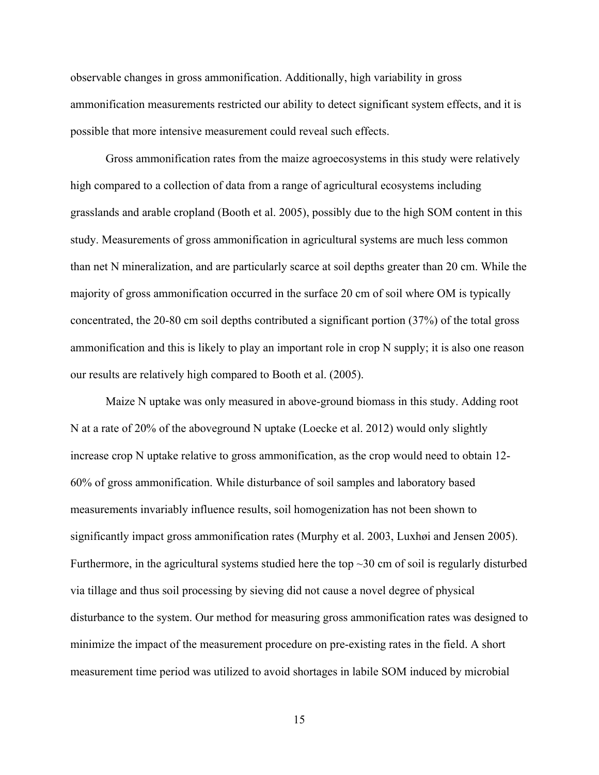observable changes in gross ammonification. Additionally, high variability in gross ammonification measurements restricted our ability to detect significant system effects, and it is possible that more intensive measurement could reveal such effects.

Gross ammonification rates from the maize agroecosystems in this study were relatively high compared to a collection of data from a range of agricultural ecosystems including grasslands and arable cropland (Booth et al. 2005), possibly due to the high SOM content in this study. Measurements of gross ammonification in agricultural systems are much less common than net N mineralization, and are particularly scarce at soil depths greater than 20 cm. While the majority of gross ammonification occurred in the surface 20 cm of soil where OM is typically concentrated, the 20-80 cm soil depths contributed a significant portion (37%) of the total gross ammonification and this is likely to play an important role in crop N supply; it is also one reason our results are relatively high compared to Booth et al. (2005).

Maize N uptake was only measured in above-ground biomass in this study. Adding root N at a rate of 20% of the aboveground N uptake (Loecke et al. 2012) would only slightly increase crop N uptake relative to gross ammonification, as the crop would need to obtain 12- 60% of gross ammonification. While disturbance of soil samples and laboratory based measurements invariably influence results, soil homogenization has not been shown to significantly impact gross ammonification rates (Murphy et al. 2003, Luxhøi and Jensen 2005). Furthermore, in the agricultural systems studied here the top  $\sim$ 30 cm of soil is regularly disturbed via tillage and thus soil processing by sieving did not cause a novel degree of physical disturbance to the system. Our method for measuring gross ammonification rates was designed to minimize the impact of the measurement procedure on pre-existing rates in the field. A short measurement time period was utilized to avoid shortages in labile SOM induced by microbial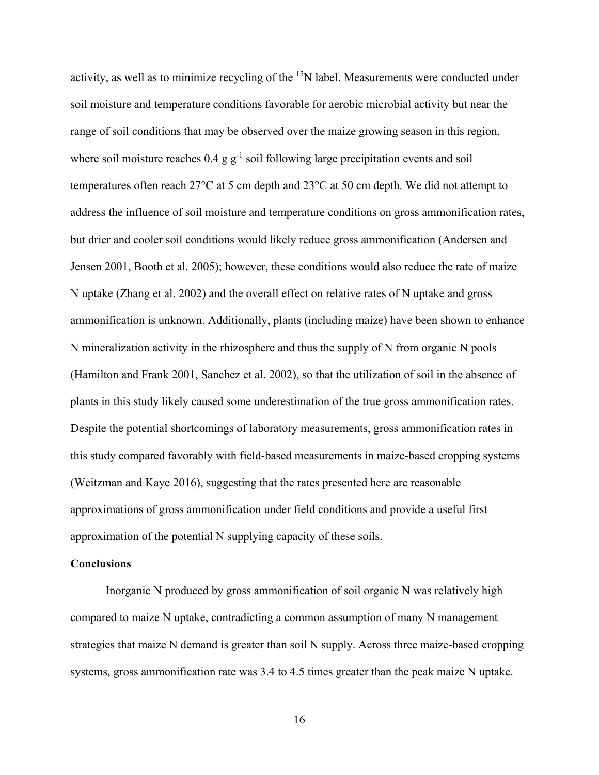activity, as well as to minimize recycling of the <sup>15</sup>N label. Measurements were conducted under soil moisture and temperature conditions favorable for aerobic microbial activity but near the range of soil conditions that may be observed over the maize growing season in this region, where soil moisture reaches  $0.4$  g g<sup>-1</sup> soil following large precipitation events and soil temperatures often reach 27°C at 5 cm depth and 23°C at 50 cm depth. We did not attempt to address the influence of soil moisture and temperature conditions on gross ammonification rates, but drier and cooler soil conditions would likely reduce gross ammonification (Andersen and Jensen 2001, Booth et al. 2005); however, these conditions would also reduce the rate of maize N uptake (Zhang et al. 2002) and the overall effect on relative rates of N uptake and gross ammonification is unknown. Additionally, plants (including maize) have been shown to enhance N mineralization activity in the rhizosphere and thus the supply of N from organic N pools (Hamilton and Frank 2001, Sanchez et al. 2002), so that the utilization of soil in the absence of plants in this study likely caused some underestimation of the true gross ammonification rates. Despite the potential shortcomings of laboratory measurements, gross ammonification rates in this study compared favorably with field-based measurements in maize-based cropping systems (Weitzman and Kaye 2016), suggesting that the rates presented here are reasonable approximations of gross ammonification under field conditions and provide a useful first approximation of the potential N supplying capacity of these soils.

## **Conclusions**

Inorganic N produced by gross ammonification of soil organic N was relatively high compared to maize N uptake, contradicting a common assumption of many N management strategies that maize N demand is greater than soil N supply. Across three maize-based cropping systems, gross ammonification rate was 3.4 to 4.5 times greater than the peak maize N uptake.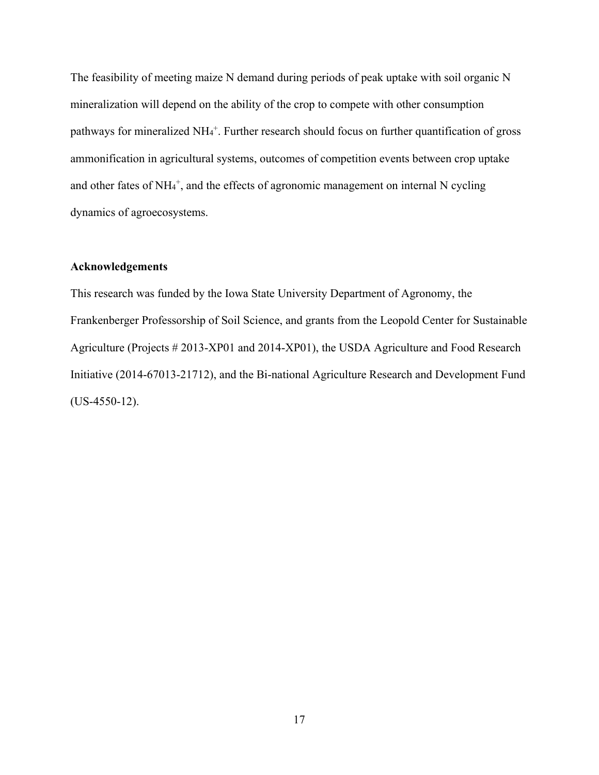The feasibility of meeting maize N demand during periods of peak uptake with soil organic N mineralization will depend on the ability of the crop to compete with other consumption pathways for mineralized NH<sub>4</sub><sup>+</sup>. Further research should focus on further quantification of gross ammonification in agricultural systems, outcomes of competition events between crop uptake and other fates of NH<sub>4</sub><sup>+</sup>, and the effects of agronomic management on internal N cycling dynamics of agroecosystems.

## **Acknowledgements**

This research was funded by the Iowa State University Department of Agronomy, the Frankenberger Professorship of Soil Science, and grants from the Leopold Center for Sustainable Agriculture (Projects # 2013-XP01 and 2014-XP01), the USDA Agriculture and Food Research Initiative (2014-67013-21712), and the Bi-national Agriculture Research and Development Fund (US-4550-12).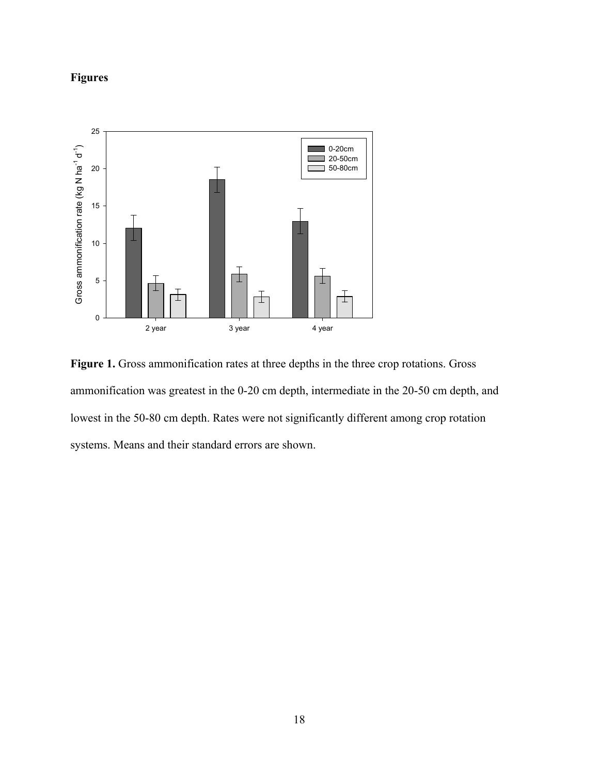# **Figures**



**Figure 1.** Gross ammonification rates at three depths in the three crop rotations. Gross ammonification was greatest in the 0-20 cm depth, intermediate in the 20-50 cm depth, and lowest in the 50-80 cm depth. Rates were not significantly different among crop rotation systems. Means and their standard errors are shown.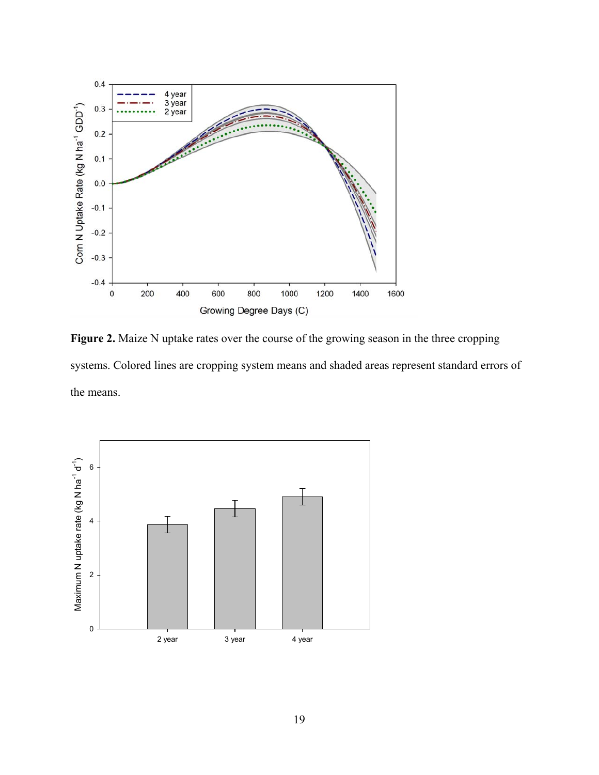

Figure 2. Maize N uptake rates over the course of the growing season in the three cropping systems. Colored lines are cropping system means and shaded areas represent standard errors of the means.

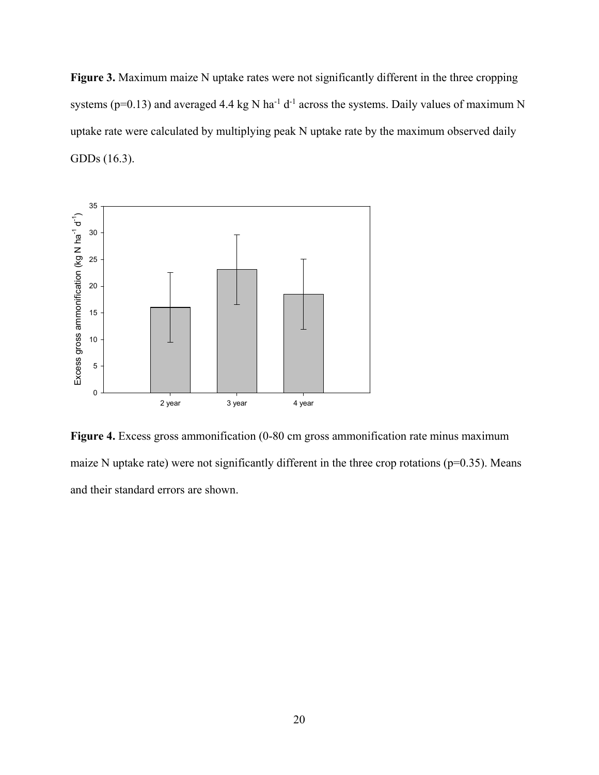Figure 3. Maximum maize N uptake rates were not significantly different in the three cropping systems ( $p=0.13$ ) and averaged 4.4 kg N ha<sup>-1</sup> d<sup>-1</sup> across the systems. Daily values of maximum N uptake rate were calculated by multiplying peak N uptake rate by the maximum observed daily GDDs (16.3).



**Figure 4.** Excess gross ammonification (0-80 cm gross ammonification rate minus maximum maize N uptake rate) were not significantly different in the three crop rotations ( $p=0.35$ ). Means and their standard errors are shown.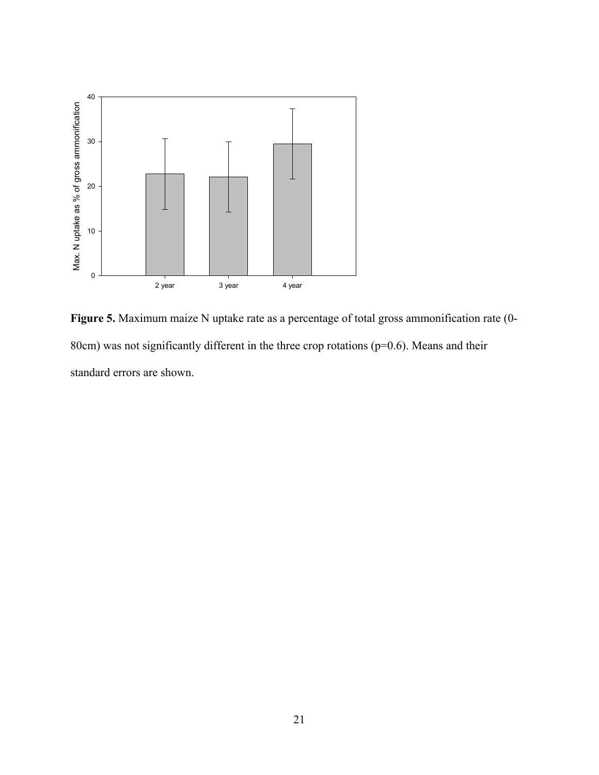

**Figure 5.** Maximum maize N uptake rate as a percentage of total gross ammonification rate (0- 80cm) was not significantly different in the three crop rotations ( $p=0.6$ ). Means and their standard errors are shown.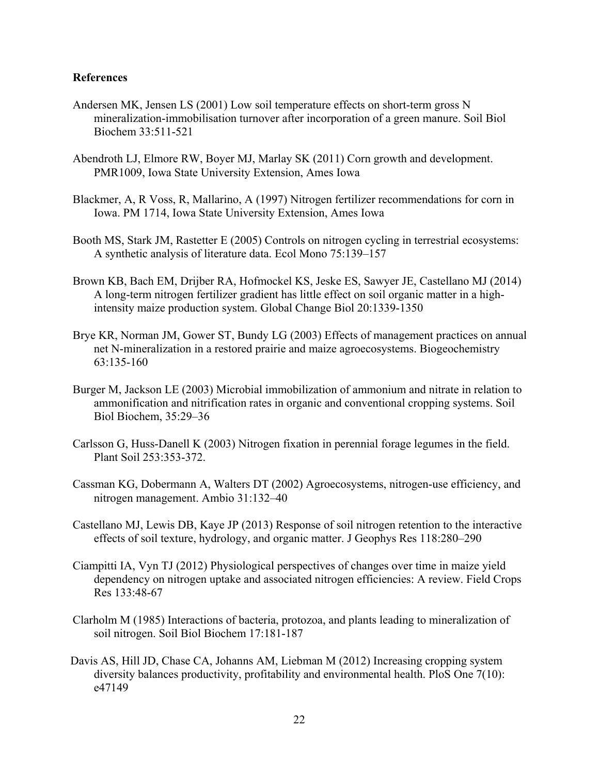## **References**

- Andersen MK, Jensen LS (2001) Low soil temperature effects on short-term gross N mineralization-immobilisation turnover after incorporation of a green manure. Soil Biol Biochem 33:511-521
- Abendroth LJ, Elmore RW, Boyer MJ, Marlay SK (2011) Corn growth and development. PMR1009, Iowa State University Extension, Ames Iowa
- Blackmer, A, R Voss, R, Mallarino, A (1997) Nitrogen fertilizer recommendations for corn in Iowa. PM 1714, Iowa State University Extension, Ames Iowa
- Booth MS, Stark JM, Rastetter E (2005) Controls on nitrogen cycling in terrestrial ecosystems: A synthetic analysis of literature data. Ecol Mono 75:139–157
- Brown KB, Bach EM, Drijber RA, Hofmockel KS, Jeske ES, Sawyer JE, Castellano MJ (2014) A long-term nitrogen fertilizer gradient has little effect on soil organic matter in a highintensity maize production system. Global Change Biol 20:1339-1350
- Brye KR, Norman JM, Gower ST, Bundy LG (2003) Effects of management practices on annual net N-mineralization in a restored prairie and maize agroecosystems. Biogeochemistry 63:135-160
- Burger M, Jackson LE (2003) Microbial immobilization of ammonium and nitrate in relation to ammonification and nitrification rates in organic and conventional cropping systems. Soil Biol Biochem, 35:29–36
- Carlsson G, Huss-Danell K (2003) Nitrogen fixation in perennial forage legumes in the field. Plant Soil 253:353-372.
- Cassman KG, Dobermann A, Walters DT (2002) Agroecosystems, nitrogen-use efficiency, and nitrogen management. Ambio 31:132–40
- Castellano MJ, Lewis DB, Kaye JP (2013) Response of soil nitrogen retention to the interactive effects of soil texture, hydrology, and organic matter. J Geophys Res 118:280–290
- Ciampitti IA, Vyn TJ (2012) Physiological perspectives of changes over time in maize yield dependency on nitrogen uptake and associated nitrogen efficiencies: A review. Field Crops Res 133:48-67
- Clarholm M (1985) Interactions of bacteria, protozoa, and plants leading to mineralization of soil nitrogen. Soil Biol Biochem 17:181-187
- Davis AS, Hill JD, Chase CA, Johanns AM, Liebman M (2012) Increasing cropping system diversity balances productivity, profitability and environmental health. PloS One 7(10): e47149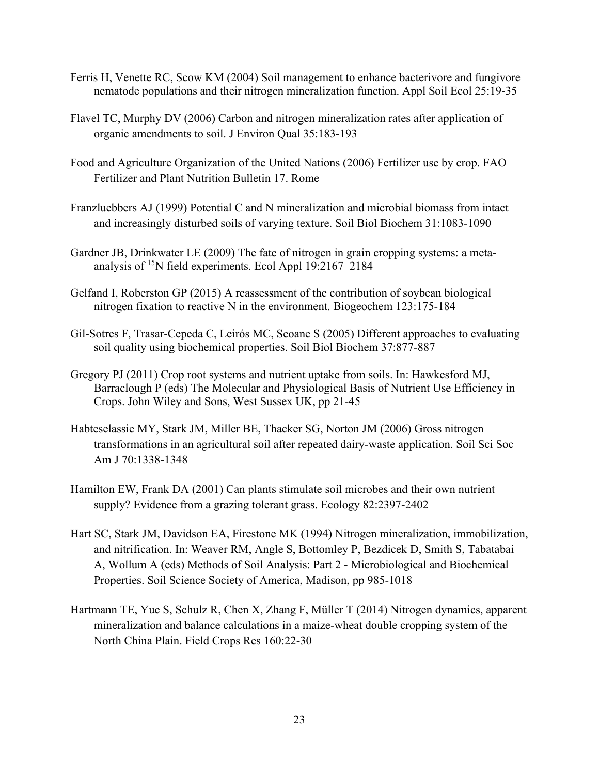- Ferris H, Venette RC, Scow KM (2004) Soil management to enhance bacterivore and fungivore nematode populations and their nitrogen mineralization function. Appl Soil Ecol 25:19-35
- Flavel TC, Murphy DV (2006) Carbon and nitrogen mineralization rates after application of organic amendments to soil. J Environ Qual 35:183-193
- Food and Agriculture Organization of the United Nations (2006) Fertilizer use by crop. FAO Fertilizer and Plant Nutrition Bulletin 17. Rome
- Franzluebbers AJ (1999) Potential C and N mineralization and microbial biomass from intact and increasingly disturbed soils of varying texture. Soil Biol Biochem 31:1083-1090
- Gardner JB, Drinkwater LE (2009) The fate of nitrogen in grain cropping systems: a metaanalysis of 15N field experiments. Ecol Appl 19:2167–2184
- Gelfand I, Roberston GP (2015) A reassessment of the contribution of soybean biological nitrogen fixation to reactive N in the environment. Biogeochem 123:175-184
- Gil-Sotres F, Trasar-Cepeda C, Leirós MC, Seoane S (2005) Different approaches to evaluating soil quality using biochemical properties. Soil Biol Biochem 37:877-887
- Gregory PJ (2011) Crop root systems and nutrient uptake from soils. In: Hawkesford MJ, Barraclough P (eds) The Molecular and Physiological Basis of Nutrient Use Efficiency in Crops. John Wiley and Sons, West Sussex UK, pp 21-45
- Habteselassie MY, Stark JM, Miller BE, Thacker SG, Norton JM (2006) Gross nitrogen transformations in an agricultural soil after repeated dairy-waste application. Soil Sci Soc Am J 70:1338-1348
- Hamilton EW, Frank DA (2001) Can plants stimulate soil microbes and their own nutrient supply? Evidence from a grazing tolerant grass. Ecology 82:2397-2402
- Hart SC, Stark JM, Davidson EA, Firestone MK (1994) Nitrogen mineralization, immobilization, and nitrification. In: Weaver RM, Angle S, Bottomley P, Bezdicek D, Smith S, Tabatabai A, Wollum A (eds) Methods of Soil Analysis: Part 2 - Microbiological and Biochemical Properties. Soil Science Society of America, Madison, pp 985-1018
- Hartmann TE, Yue S, Schulz R, Chen X, Zhang F, Müller T (2014) Nitrogen dynamics, apparent mineralization and balance calculations in a maize-wheat double cropping system of the North China Plain. Field Crops Res 160:22-30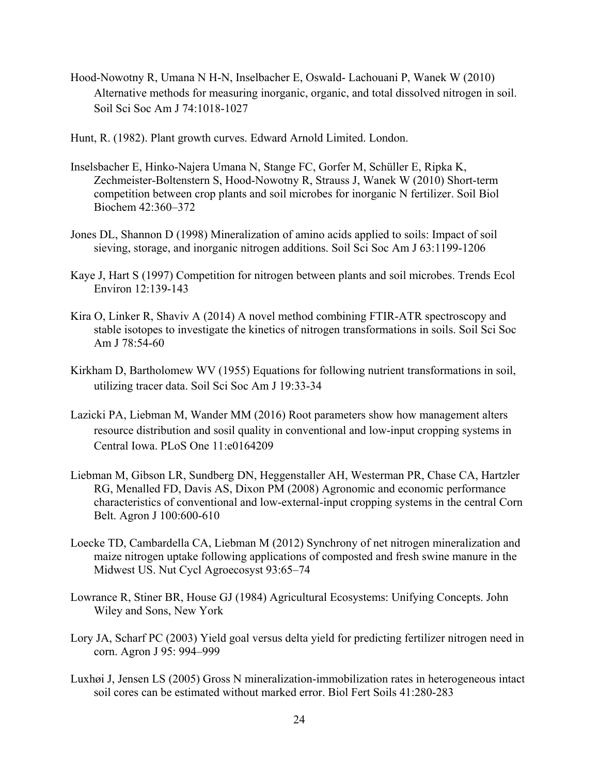- Hood-Nowotny R, Umana N H-N, Inselbacher E, Oswald- Lachouani P, Wanek W (2010) Alternative methods for measuring inorganic, organic, and total dissolved nitrogen in soil. Soil Sci Soc Am J 74:1018-1027
- Hunt, R. (1982). Plant growth curves. Edward Arnold Limited. London.
- Inselsbacher E, Hinko-Najera Umana N, Stange FC, Gorfer M, Schüller E, Ripka K, Zechmeister-Boltenstern S, Hood-Nowotny R, Strauss J, Wanek W (2010) Short-term competition between crop plants and soil microbes for inorganic N fertilizer. Soil Biol Biochem 42:360–372
- Jones DL, Shannon D (1998) Mineralization of amino acids applied to soils: Impact of soil sieving, storage, and inorganic nitrogen additions. Soil Sci Soc Am J 63:1199-1206
- Kaye J, Hart S (1997) Competition for nitrogen between plants and soil microbes. Trends Ecol Environ 12:139-143
- Kira O, Linker R, Shaviv A (2014) A novel method combining FTIR-ATR spectroscopy and stable isotopes to investigate the kinetics of nitrogen transformations in soils. Soil Sci Soc Am J 78:54-60
- Kirkham D, Bartholomew WV (1955) Equations for following nutrient transformations in soil, utilizing tracer data. Soil Sci Soc Am J 19:33-34
- Lazicki PA, Liebman M, Wander MM (2016) Root parameters show how management alters resource distribution and sosil quality in conventional and low-input cropping systems in Central Iowa. PLoS One 11:e0164209
- Liebman M, Gibson LR, Sundberg DN, Heggenstaller AH, Westerman PR, Chase CA, Hartzler RG, Menalled FD, Davis AS, Dixon PM (2008) Agronomic and economic performance characteristics of conventional and low-external-input cropping systems in the central Corn Belt. Agron J 100:600-610
- Loecke TD, Cambardella CA, Liebman M (2012) Synchrony of net nitrogen mineralization and maize nitrogen uptake following applications of composted and fresh swine manure in the Midwest US. Nut Cycl Agroecosyst 93:65–74
- Lowrance R, Stiner BR, House GJ (1984) Agricultural Ecosystems: Unifying Concepts. John Wiley and Sons, New York
- Lory JA, Scharf PC (2003) Yield goal versus delta yield for predicting fertilizer nitrogen need in corn. Agron J 95: 994–999
- Luxhøi J, Jensen LS (2005) Gross N mineralization-immobilization rates in heterogeneous intact soil cores can be estimated without marked error. Biol Fert Soils 41:280-283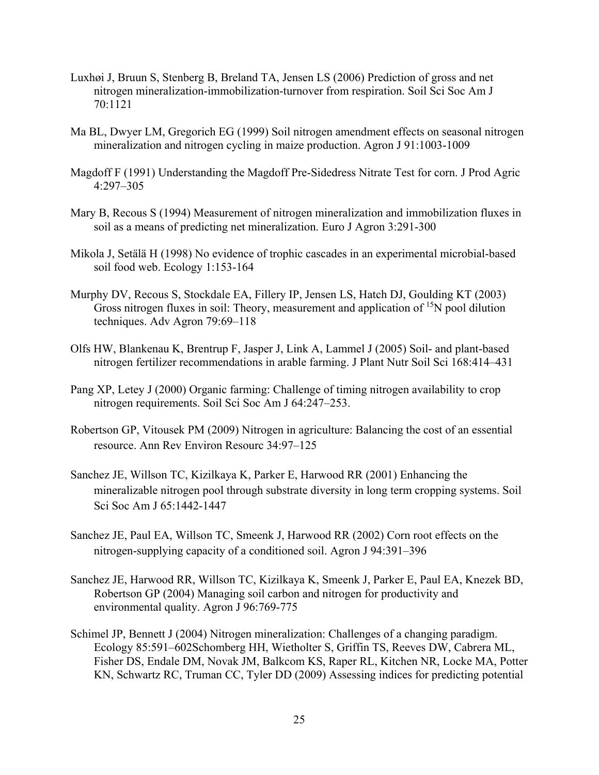- Luxhøi J, Bruun S, Stenberg B, Breland TA, Jensen LS (2006) Prediction of gross and net nitrogen mineralization-immobilization-turnover from respiration. Soil Sci Soc Am J 70:1121
- Ma BL, Dwyer LM, Gregorich EG (1999) Soil nitrogen amendment effects on seasonal nitrogen mineralization and nitrogen cycling in maize production. Agron J 91:1003-1009
- Magdoff F (1991) Understanding the Magdoff Pre-Sidedress Nitrate Test for corn. J Prod Agric 4:297–305
- Mary B, Recous S (1994) Measurement of nitrogen mineralization and immobilization fluxes in soil as a means of predicting net mineralization. Euro J Agron 3:291-300
- Mikola J, Setälä H (1998) No evidence of trophic cascades in an experimental microbial-based soil food web. Ecology 1:153-164
- Murphy DV, Recous S, Stockdale EA, Fillery IP, Jensen LS, Hatch DJ, Goulding KT (2003) Gross nitrogen fluxes in soil: Theory, measurement and application of <sup>15</sup>N pool dilution techniques. Adv Agron 79:69–118
- Olfs HW, Blankenau K, Brentrup F, Jasper J, Link A, Lammel J (2005) Soil- and plant-based nitrogen fertilizer recommendations in arable farming. J Plant Nutr Soil Sci 168:414–431
- Pang XP, Letey J (2000) Organic farming: Challenge of timing nitrogen availability to crop nitrogen requirements. Soil Sci Soc Am J 64:247–253.
- Robertson GP, Vitousek PM (2009) Nitrogen in agriculture: Balancing the cost of an essential resource. Ann Rev Environ Resourc 34:97–125
- Sanchez JE, Willson TC, Kizilkaya K, Parker E, Harwood RR (2001) Enhancing the mineralizable nitrogen pool through substrate diversity in long term cropping systems. Soil Sci Soc Am J 65:1442-1447
- Sanchez JE, Paul EA, Willson TC, Smeenk J, Harwood RR (2002) Corn root effects on the nitrogen-supplying capacity of a conditioned soil. Agron J 94:391–396
- Sanchez JE, Harwood RR, Willson TC, Kizilkaya K, Smeenk J, Parker E, Paul EA, Knezek BD, Robertson GP (2004) Managing soil carbon and nitrogen for productivity and environmental quality. Agron J 96:769-775
- Schimel JP, Bennett J (2004) Nitrogen mineralization: Challenges of a changing paradigm. Ecology 85:591–602Schomberg HH, Wietholter S, Griffin TS, Reeves DW, Cabrera ML, Fisher DS, Endale DM, Novak JM, Balkcom KS, Raper RL, Kitchen NR, Locke MA, Potter KN, Schwartz RC, Truman CC, Tyler DD (2009) Assessing indices for predicting potential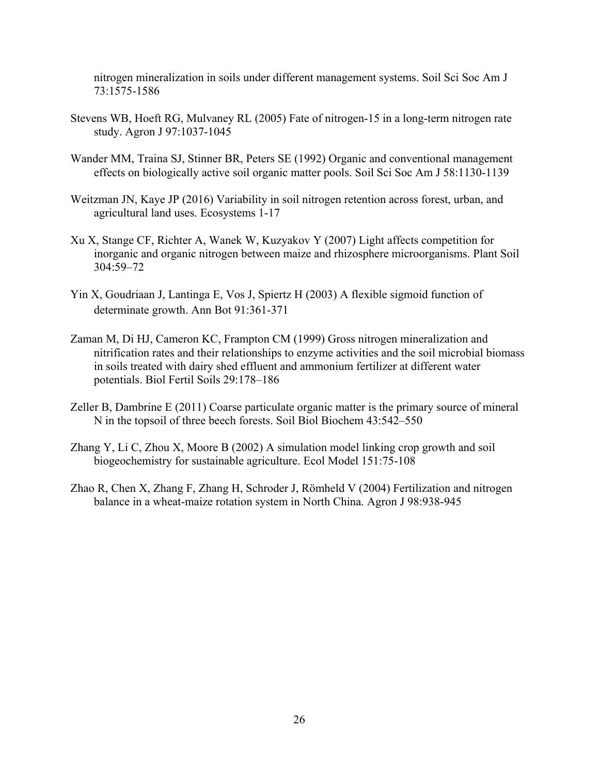nitrogen mineralization in soils under different management systems. Soil Sci Soc Am J 73:1575-1586

- Stevens WB, Hoeft RG, Mulvaney RL (2005) Fate of nitrogen-15 in a long-term nitrogen rate study. Agron J 97:1037-1045
- Wander MM, Traina SJ, Stinner BR, Peters SE (1992) Organic and conventional management effects on biologically active soil organic matter pools. Soil Sci Soc Am J 58:1130-1139
- Weitzman JN, Kaye JP (2016) Variability in soil nitrogen retention across forest, urban, and agricultural land uses. Ecosystems 1-17
- Xu X, Stange CF, Richter A, Wanek W, Kuzyakov Y (2007) Light affects competition for inorganic and organic nitrogen between maize and rhizosphere microorganisms. Plant Soil 304:59–72
- Yin X, Goudriaan J, Lantinga E, Vos J, Spiertz H (2003) A flexible sigmoid function of determinate growth. Ann Bot 91:361-371
- Zaman M, Di HJ, Cameron KC, Frampton CM (1999) Gross nitrogen mineralization and nitrification rates and their relationships to enzyme activities and the soil microbial biomass in soils treated with dairy shed effluent and ammonium fertilizer at different water potentials. Biol Fertil Soils 29:178–186
- Zeller B, Dambrine E (2011) Coarse particulate organic matter is the primary source of mineral N in the topsoil of three beech forests. Soil Biol Biochem 43:542–550
- Zhang Y, Li C, Zhou X, Moore B (2002) A simulation model linking crop growth and soil biogeochemistry for sustainable agriculture. Ecol Model 151:75-108
- Zhao R, Chen X, Zhang F, Zhang H, Schroder J, Römheld V (2004) Fertilization and nitrogen balance in a wheat-maize rotation system in North China. Agron J 98:938-945